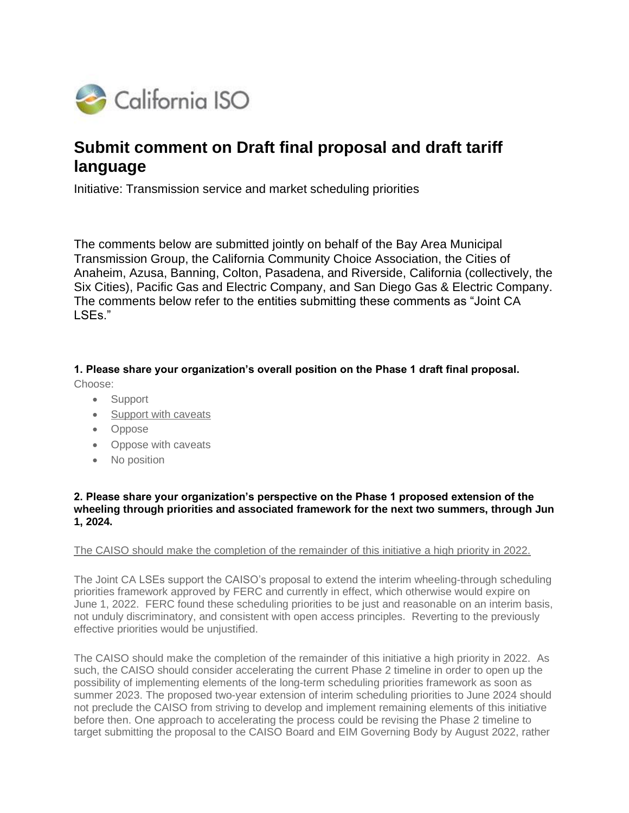

# **Submit comment on Draft final proposal and draft tariff language**

Initiative: Transmission service and market scheduling priorities

The comments below are submitted jointly on behalf of the Bay Area Municipal Transmission Group, the California Community Choice Association, the Cities of Anaheim, Azusa, Banning, Colton, Pasadena, and Riverside, California (collectively, the Six Cities), Pacific Gas and Electric Company, and San Diego Gas & Electric Company. The comments below refer to the entities submitting these comments as "Joint CA LSEs."

**1. Please share your organization's overall position on the Phase 1 draft final proposal.** Choose:

- Support
- Support with caveats
- Oppose
- Oppose with caveats
- No position

#### **2. Please share your organization's perspective on the Phase 1 proposed extension of the wheeling through priorities and associated framework for the next two summers, through Jun 1, 2024.**

#### The CAISO should make the completion of the remainder of this initiative a high priority in 2022.

The Joint CA LSEs support the CAISO's proposal to extend the interim wheeling-through scheduling priorities framework approved by FERC and currently in effect, which otherwise would expire on June 1, 2022. FERC found these scheduling priorities to be just and reasonable on an interim basis, not unduly discriminatory, and consistent with open access principles. Reverting to the previously effective priorities would be unjustified.

The CAISO should make the completion of the remainder of this initiative a high priority in 2022. As such, the CAISO should consider accelerating the current Phase 2 timeline in order to open up the possibility of implementing elements of the long-term scheduling priorities framework as soon as summer 2023. The proposed two-year extension of interim scheduling priorities to June 2024 should not preclude the CAISO from striving to develop and implement remaining elements of this initiative before then. One approach to accelerating the process could be revising the Phase 2 timeline to target submitting the proposal to the CAISO Board and EIM Governing Body by August 2022, rather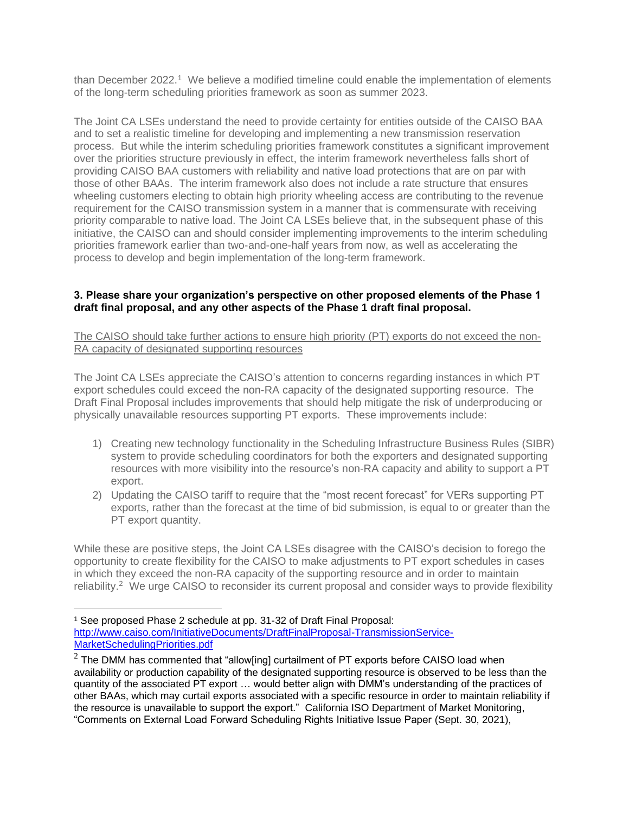than December 2022.<sup>1</sup> We believe a modified timeline could enable the implementation of elements of the long-term scheduling priorities framework as soon as summer 2023.

The Joint CA LSEs understand the need to provide certainty for entities outside of the CAISO BAA and to set a realistic timeline for developing and implementing a new transmission reservation process. But while the interim scheduling priorities framework constitutes a significant improvement over the priorities structure previously in effect, the interim framework nevertheless falls short of providing CAISO BAA customers with reliability and native load protections that are on par with those of other BAAs. The interim framework also does not include a rate structure that ensures wheeling customers electing to obtain high priority wheeling access are contributing to the revenue requirement for the CAISO transmission system in a manner that is commensurate with receiving priority comparable to native load. The Joint CA LSEs believe that, in the subsequent phase of this initiative, the CAISO can and should consider implementing improvements to the interim scheduling priorities framework earlier than two-and-one-half years from now, as well as accelerating the process to develop and begin implementation of the long-term framework.

#### **3. Please share your organization's perspective on other proposed elements of the Phase 1 draft final proposal, and any other aspects of the Phase 1 draft final proposal.**

The CAISO should take further actions to ensure high priority (PT) exports do not exceed the non-RA capacity of designated supporting resources

The Joint CA LSEs appreciate the CAISO's attention to concerns regarding instances in which PT export schedules could exceed the non-RA capacity of the designated supporting resource. The Draft Final Proposal includes improvements that should help mitigate the risk of underproducing or physically unavailable resources supporting PT exports. These improvements include:

- 1) Creating new technology functionality in the Scheduling Infrastructure Business Rules (SIBR) system to provide scheduling coordinators for both the exporters and designated supporting resources with more visibility into the resource's non-RA capacity and ability to support a PT export.
- 2) Updating the CAISO tariff to require that the "most recent forecast" for VERs supporting PT exports, rather than the forecast at the time of bid submission, is equal to or greater than the PT export quantity.

While these are positive steps, the Joint CA LSEs disagree with the CAISO's decision to forego the opportunity to create flexibility for the CAISO to make adjustments to PT export schedules in cases in which they exceed the non-RA capacity of the supporting resource and in order to maintain reliability.<sup>2</sup> We urge CAISO to reconsider its current proposal and consider ways to provide flexibility

<sup>1</sup> See proposed Phase 2 schedule at pp. 31-32 of Draft Final Proposal: [http://www.caiso.com/InitiativeDocuments/DraftFinalProposal-TransmissionService-](http://www.caiso.com/InitiativeDocuments/DraftFinalProposal-TransmissionService-MarketSchedulingPriorities.pdf)[MarketSchedulingPriorities.pdf](http://www.caiso.com/InitiativeDocuments/DraftFinalProposal-TransmissionService-MarketSchedulingPriorities.pdf)

 $2$  The DMM has commented that "allow[ing] curtailment of PT exports before CAISO load when availability or production capability of the designated supporting resource is observed to be less than the quantity of the associated PT export … would better align with DMM's understanding of the practices of other BAAs, which may curtail exports associated with a specific resource in order to maintain reliability if the resource is unavailable to support the export." California ISO Department of Market Monitoring, "Comments on External Load Forward Scheduling Rights Initiative Issue Paper (Sept. 30, 2021),